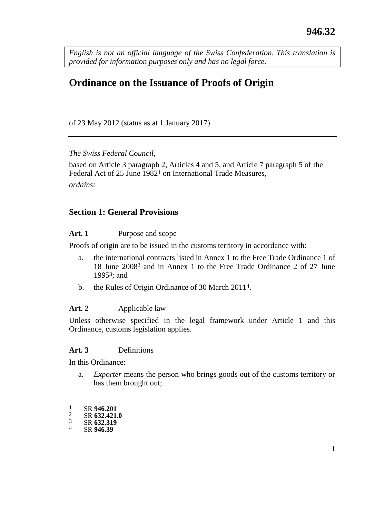<span id="page-0-0"></span>*English is not an official language of the Swiss Confederation. This translation is provided for information purposes only and has no legal force.*

# **Ordinance on the Issuance of Proofs of Origin**

of 23 May 2012 (status as at 1 January 2017)

*The Swiss Federal Council,*

based on Article 3 paragraph 2, Articles 4 and 5, and Article 7 paragraph 5 of the Federal Act of 25 June 1982<sup>1</sup> on International Trade Measures, *ordains:*

#### **Section 1: General Provisions**

#### Art. 1 Purpose and scope

Proofs of origin are to be issued in the customs territory in accordance with:

- a. the international contracts listed in Annex 1 to the Free Trade Ordinance 1 of 18 June 20082 and in Annex 1 to the Free Trade Ordinance 2 of 27 June 19953; and
- b. the Rules of Origin Ordinance of 30 March 20114.

### **Art. 2** Applicable law

Unless otherwise specified in the legal framework under Article 1 and this Ordinance, customs legislation applies.

#### **Art. 3** Definitions

In this Ordinance:

- a. *Exporter* means the person who brings goods out of the customs territory or has them brought out;
- $\frac{1}{2}$  SR 946.201
- $rac{2}{3}$  SR 632.421.0
- $rac{3}{4}$  SR **632.319**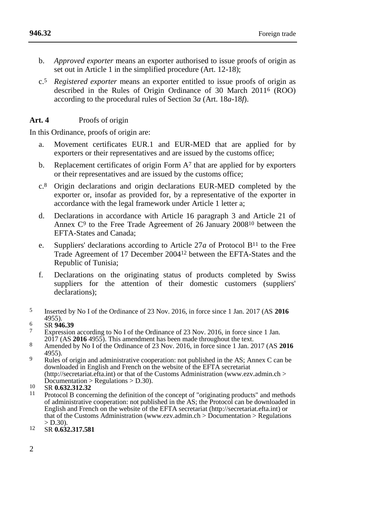- b. *Approved exporter* means an exporter authorised to issue proofs of origin as set out in Article 1 in the simplified procedure (Art. 12-18):
- c.5 *Registered exporter* means an exporter entitled to issue proofs of origin as described in the Rules of Origin Ordinance of 30 March 20116 (ROO) according to the procedural rules of Section 3*a* (Art. 18*a*-18*f*).

#### **Art. 4** Proofs of origin

In this Ordinance, proofs of origin are:

- a. Movement certificates EUR.1 and EUR-MED that are applied for by exporters or their representatives and are issued by the customs office;
- b. Replacement certificates of origin Form  $A<sup>7</sup>$  that are applied for by exporters or their representatives and are issued by the customs office;
- c.8 Origin declarations and origin declarations EUR-MED completed by the exporter or, insofar as provided for, by a representative of the exporter in accordance with the legal framework under Article 1 letter a;
- d. Declarations in accordance with Article 16 paragraph 3 and Article 21 of Annex C9 to the Free Trade Agreement of 26 January 200810 between the EFTA-States and Canada;
- e. Suppliers' declarations according to Article 27*a* of Protocol  $B<sup>11</sup>$  to the Free Trade Agreement of 17 December 200412 between the EFTA-States and the Republic of Tunisia;
- f. Declarations on the originating status of products completed by Swiss suppliers for the attention of their domestic customers (suppliers' declarations);

- 6 SR **946.39**
- Expression according to No I of the Ordinance of 23 Nov. 2016, in force since 1 Jan. 2017 (AS **2016** 4955). This amendment has been made throughout the text.
- 8 Amended by No I of the Ordinance of 23 Nov. 2016, in force since 1 Jan. 2017 (AS 2016) 4955).
- <sup>9</sup> Rules of origin and administrative cooperation: not published in the AS; Annex C can be downloaded in English and French on the website of the EFTA secretariat (http://secretariat.efta.int) or that of the Customs Administration (www.ezv.admin.ch >  $Documentation > Regularations > D.30$ .
- 10 SR **0.632.312.32**
- 11 Protocol B concerning the definition of the concept of "originating products" and methods of administrative cooperation: not published in the AS; the Protocol can be downloaded in English and French on the website of the EFTA secretariat (http://secretariat.efta.int) or that of the Customs Administration (www.ezv.admin.ch > Documentation > Regulations  $>$  D.30).
- 12 SR **0.632.317.581**

<sup>5</sup> Inserted by No I of the Ordinance of 23 Nov. 2016, in force since 1 Jan. 2017 (AS **2016**  4955).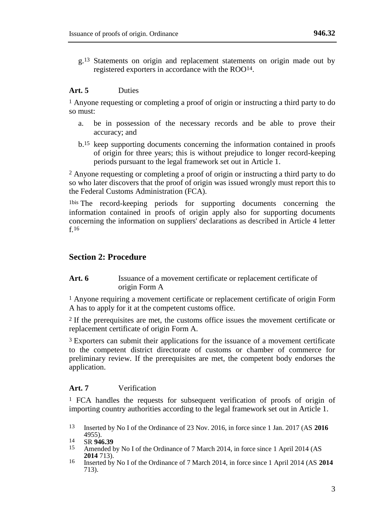g.13 Statements on origin and replacement statements on origin made out by registered exporters in accordance with the ROO14.

#### **Art. 5** Duties

1 Anyone requesting or completing a proof of origin or instructing a third party to do so must:

- a. be in possession of the necessary records and be able to prove their accuracy; and
- b.15 keep supporting documents concerning the information contained in proofs of origin for three years; this is without prejudice to longer record-keeping periods pursuant to the legal framework set out in Article 1.

2 Anyone requesting or completing a proof of origin or instructing a third party to do so who later discovers that the proof of origin was issued wrongly must report this to the Federal Customs Administration (FCA).

1bis The record-keeping periods for supporting documents concerning the information contained in proofs of origin apply also for supporting documents concerning the information on suppliers' declarations as described in Article 4 letter f 16

# **Section 2: Procedure**

Art. 6 **Issuance of a movement certificate or replacement certificate of** origin Form A

1 Anyone requiring a movement certificate or replacement certificate of origin Form A has to apply for it at the competent customs office.

2 If the prerequisites are met, the customs office issues the movement certificate or replacement certificate of origin Form A.

3 Exporters can submit their applications for the issuance of a movement certificate to the competent district directorate of customs or chamber of commerce for preliminary review. If the prerequisites are met, the competent body endorses the application.

#### **Art. 7** Verification

1 FCA handles the requests for subsequent verification of proofs of origin of importing country authorities according to the legal framework set out in Article 1.

- Amended by No I of the Ordinance of 7 March 2014, in force since 1 April 2014 (AS **2014** 713).
- 16 Inserted by No I of the Ordinance of 7 March 2014, in force since 1 April 2014 (AS **2014**  713).

<sup>13</sup> Inserted by No I of the Ordinance of 23 Nov. 2016, in force since 1 Jan. 2017 (AS **2016**  4955).

<sup>14</sup> SR **946.39**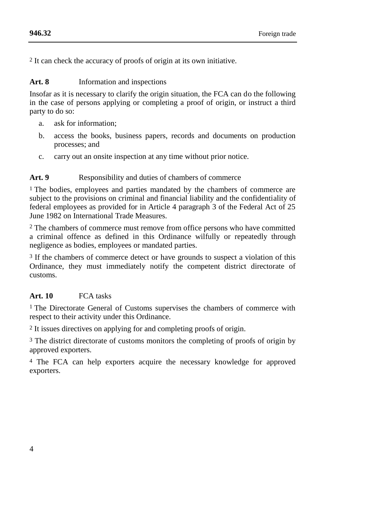2 It can check the accuracy of proofs of origin at its own initiative.

#### **Art. 8** Information and inspections

Insofar as it is necessary to clarify the origin situation, the FCA can do the following in the case of persons applying or completing a proof of origin, or instruct a third party to do so:

- a. ask for information;
- b. access the books, business papers, records and documents on production processes; and
- c. carry out an onsite inspection at any time without prior notice.

### Art. 9 Responsibility and duties of chambers of commerce

1 The bodies, employees and parties mandated by the chambers of commerce are subject to the provisions on criminal and financial liability and the confidentiality of federal employees as provided for in Article 4 paragraph 3 of the Federal Act of 25 June 1982 on International Trade Measures.

2 The chambers of commerce must remove from office persons who have committed a criminal offence as defined in this Ordinance wilfully or repeatedly through negligence as bodies, employees or mandated parties.

3 If the chambers of commerce detect or have grounds to suspect a violation of this Ordinance, they must immediately notify the competent district directorate of customs.

# **Art. 10** FCA tasks

<sup>1</sup> The Directorate General of Customs supervises the chambers of commerce with respect to their activity under this Ordinance.

2 It issues directives on applying for and completing proofs of origin.

3 The district directorate of customs monitors the completing of proofs of origin by approved exporters.

4 The FCA can help exporters acquire the necessary knowledge for approved exporters.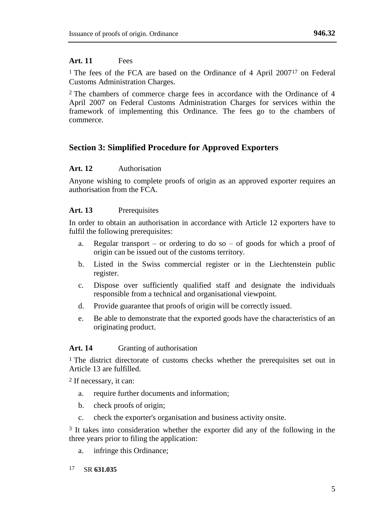# **Art. 11** Fees

<sup>1</sup> The fees of the FCA are based on the Ordinance of 4 April 2007<sup>17</sup> on Federal Customs Administration Charges.

2 The chambers of commerce charge fees in accordance with the Ordinance of 4 April 2007 on Federal Customs Administration Charges for services within the framework of implementing this Ordinance. The fees go to the chambers of commerce.

# **Section 3: Simplified Procedure for Approved Exporters**

# **Art. 12** Authorisation

Anyone wishing to complete proofs of origin as an approved exporter requires an authorisation from the FCA.

# **Art. 13** Prerequisites

In order to obtain an authorisation in accordance with Article 12 exporters have to fulfil the following prerequisites:

- a. Regular transport or ordering to do so of goods for which a proof of origin can be issued out of the customs territory.
- b. Listed in the Swiss commercial register or in the Liechtenstein public register.
- c. Dispose over sufficiently qualified staff and designate the individuals responsible from a technical and organisational viewpoint.
- d. Provide guarantee that proofs of origin will be correctly issued.
- e. Be able to demonstrate that the exported goods have the characteristics of an originating product.

# **Art. 14** Granting of authorisation

<sup>1</sup> The district directorate of customs checks whether the prerequisites set out in Article 13 are fulfilled.

2 If necessary, it can:

- a. require further documents and information;
- b. check proofs of origin;
- c. check the exporter's organisation and business activity onsite.

3 It takes into consideration whether the exporter did any of the following in the three years prior to filing the application:

- a. infringe this Ordinance;
- 17 SR **631.035**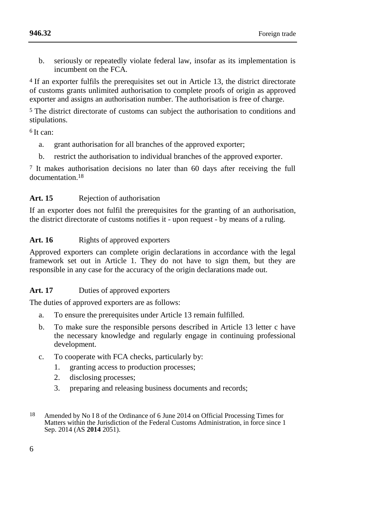b. seriously or repeatedly violate federal law, insofar as its implementation is incumbent on the FCA.

4 If an exporter fulfils the prerequisites set out in Article 13, the district directorate of customs grants unlimited authorisation to complete proofs of origin as approved exporter and assigns an authorisation number. The authorisation is free of charge.

5 The district directorate of customs can subject the authorisation to conditions and stipulations.

 $6$  It can:

- a. grant authorisation for all branches of the approved exporter;
- b. restrict the authorisation to individual branches of the approved exporter.

7 It makes authorisation decisions no later than 60 days after receiving the full documentation<sup>18</sup>

# **Art. 15** Rejection of authorisation

If an exporter does not fulfil the prerequisites for the granting of an authorisation, the district directorate of customs notifies it - upon request - by means of a ruling.

# Art. 16 Rights of approved exporters

Approved exporters can complete origin declarations in accordance with the legal framework set out in Article 1. They do not have to sign them, but they are responsible in any case for the accuracy of the origin declarations made out.

# **Art. 17** Duties of approved exporters

The duties of approved exporters are as follows:

- a. To ensure the prerequisites under Article 13 remain fulfilled.
- b. To make sure the responsible persons described in Article 13 letter c have the necessary knowledge and regularly engage in continuing professional development.
- c. To cooperate with FCA checks, particularly by:
	- 1. granting access to production processes;
	- 2. disclosing processes;
	- 3. preparing and releasing business documents and records;
- 18 Amended by No I 8 of the Ordinance of 6 June 2014 on Official Processing Times for Matters within the Jurisdiction of the Federal Customs Administration, in force since 1 Sep. 2014 (AS **2014** 2051).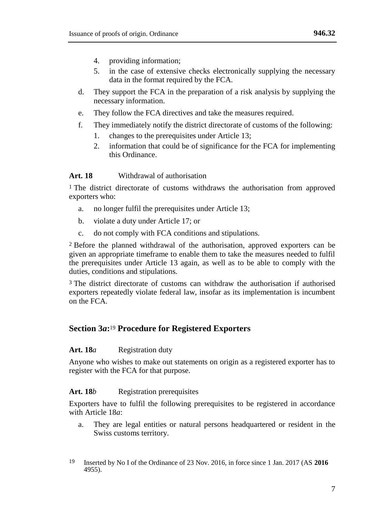- 4. providing information;
- 5. in the case of extensive checks electronically supplying the necessary data in the format required by the FCA.
- d. They support the FCA in the preparation of a risk analysis by supplying the necessary information.
- e. They follow the FCA directives and take the measures required.
- f. They immediately notify the district directorate of customs of the following:
	- 1. changes to the prerequisites under Article 13;
	- 2. information that could be of significance for the FCA for implementing this Ordinance.

#### **Art. 18** Withdrawal of authorisation

<sup>1</sup> The district directorate of customs withdraws the authorisation from approved exporters who:

- a. no longer fulfil the prerequisites under Article 13;
- b. violate a duty under Article 17; or
- c. do not comply with FCA conditions and stipulations.

2 Before the planned withdrawal of the authorisation, approved exporters can be given an appropriate timeframe to enable them to take the measures needed to fulfil the prerequisites under Article 13 again, as well as to be able to comply with the duties, conditions and stipulations.

3 The district directorate of customs can withdraw the authorisation if authorised exporters repeatedly violate federal law, insofar as its implementation is incumbent on the  $FCA$ .

## **Section 3***a***:** <sup>19</sup> **Procedure for Registered Exporters**

#### **Art. 18***a* Registration duty

Anyone who wishes to make out statements on origin as a registered exporter has to register with the FCA for that purpose.

#### Art. 18*b* Registration prerequisites

Exporters have to fulfil the following prerequisites to be registered in accordance with Article 18*a*:

- a. They are legal entities or natural persons headquartered or resident in the Swiss customs territory.
- 19 Inserted by No I of the Ordinance of 23 Nov. 2016, in force since 1 Jan. 2017 (AS **2016**  4955).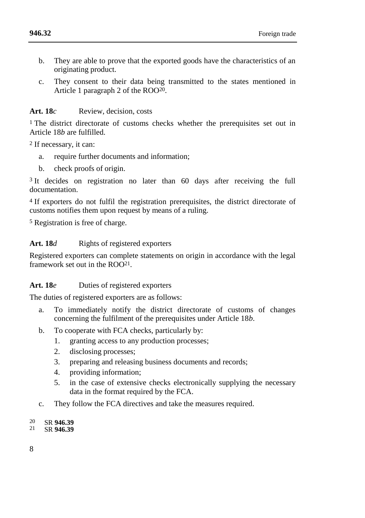- b. They are able to prove that the exported goods have the characteristics of an originating product.
- c. They consent to their data being transmitted to the states mentioned in Article 1 paragraph 2 of the ROO20.

#### **Art. 18***c* Review, decision, costs

<sup>1</sup> The district directorate of customs checks whether the prerequisites set out in Article 18*b* are fulfilled.

2 If necessary, it can:

- a. require further documents and information;
- b. check proofs of origin.

<sup>3</sup> It decides on registration no later than 60 days after receiving the full documentation.

4 If exporters do not fulfil the registration prerequisites, the district directorate of customs notifies them upon request by means of a ruling.

5 Registration is free of charge.

#### Art. 18*d* Rights of registered exporters

Registered exporters can complete statements on origin in accordance with the legal framework set out in the ROO<sup>21</sup>

#### Art. 18*e* Duties of registered exporters

The duties of registered exporters are as follows:

- a. To immediately notify the district directorate of customs of changes concerning the fulfilment of the prerequisites under Article 18*b*.
- b. To cooperate with FCA checks, particularly by:
	- 1. granting access to any production processes;
	- 2. disclosing processes;
	- 3. preparing and releasing business documents and records;
	- 4. providing information;
	- 5. in the case of extensive checks electronically supplying the necessary data in the format required by the FCA.
- c. They follow the FCA directives and take the measures required.
- 20 SR **946.39**
- SR 946.39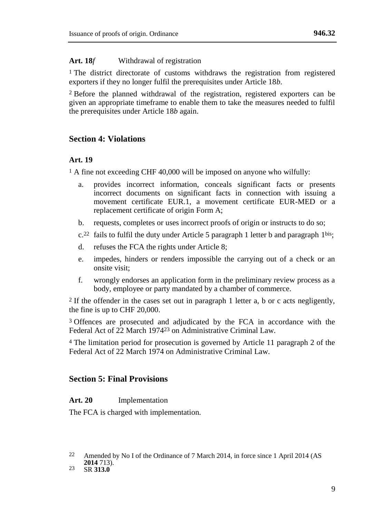#### Art. 18*f* Withdrawal of registration

1 The district directorate of customs withdraws the registration from registered exporters if they no longer fulfil the prerequisites under Article 18*b*.

2 Before the planned withdrawal of the registration, registered exporters can be given an appropriate timeframe to enable them to take the measures needed to fulfil the prerequisites under Article 18*b* again.

# **Section 4: Violations**

#### **Art. 19**

<sup>1</sup> A fine not exceeding CHF 40,000 will be imposed on anyone who wilfully:

- a. provides incorrect information, conceals significant facts or presents incorrect documents on significant facts in connection with issuing a movement certificate EUR.1, a movement certificate EUR-MED or a replacement certificate of origin Form A;
- b. requests, completes or uses incorrect proofs of origin or instructs to do so;
- $c<sup>22</sup>$  fails to fulfil the duty under Article 5 paragraph 1 letter b and paragraph 1<sup>bis</sup>;
- d. refuses the FCA the rights under Article 8;
- e. impedes, hinders or renders impossible the carrying out of a check or an onsite visit;
- f. wrongly endorses an application form in the preliminary review process as a body, employee or party mandated by a chamber of commerce.

2 If the offender in the cases set out in paragraph 1 letter a, b or c acts negligently, the fine is up to CHF 20,000.

3 Offences are prosecuted and adjudicated by the FCA in accordance with the Federal Act of 22 March 197423 on Administrative Criminal Law.

4 The limitation period for prosecution is governed by Article 11 paragraph 2 of the Federal Act of 22 March 1974 on Administrative Criminal Law.

# **Section 5: Final Provisions**

#### **Art. 20** Implementation

The FCA is charged with implementation.

<sup>22</sup> Amended by No I of the Ordinance of 7 March 2014, in force since 1 April 2014 (AS **2014** 713).

<sup>23</sup> SR **313.0**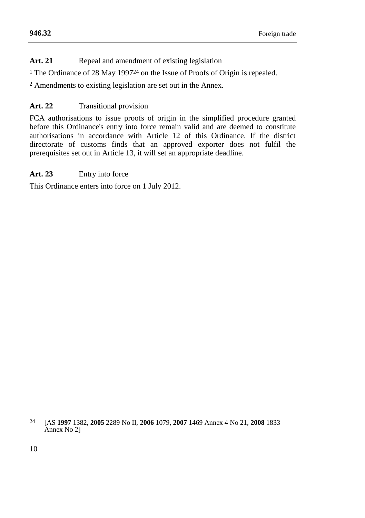## **[946.32](#page-0-0)**

Art. 21 Repeal and amendment of existing legislation

1 The Ordinance of 28 May 199724 on the Issue of Proofs of Origin is repealed.

2 Amendments to existing legislation are set out in the Annex.

# **Art. 22** Transitional provision

FCA authorisations to issue proofs of origin in the simplified procedure granted before this Ordinance's entry into force remain valid and are deemed to constitute authorisations in accordance with Article 12 of this Ordinance. If the district directorate of customs finds that an approved exporter does not fulfil the prerequisites set out in Article 13, it will set an appropriate deadline.

# **Art. 23** Entry into force

This Ordinance enters into force on 1 July 2012.

<sup>24</sup> [AS **1997** 1382, **2005** 2289 No II, **2006** 1079, **2007** 1469 Annex 4 No 21, **2008** 1833 Annex No 2]